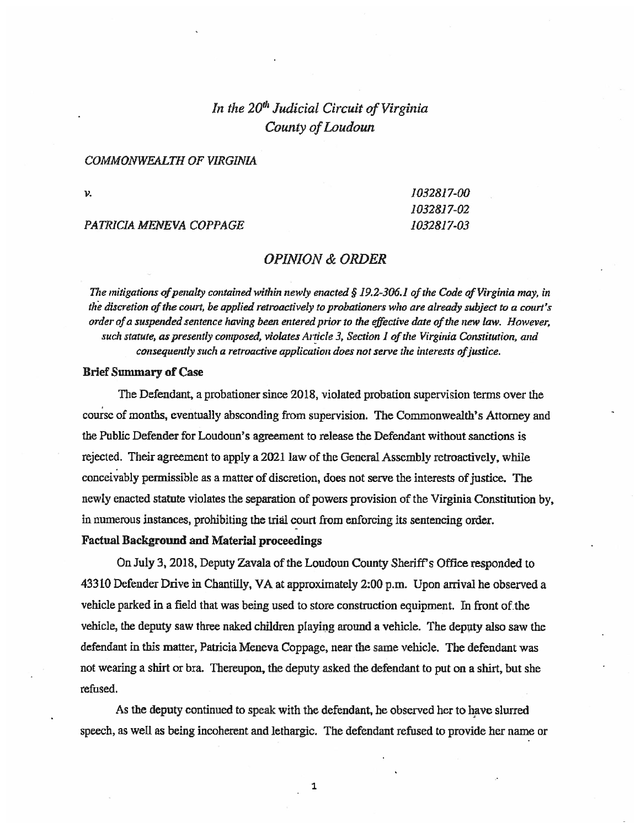# In the  $20<sup>th</sup>$  Judicial Circuit of Virginia County of Loudoun

#### COMMONWEAITH OF VIRGINIA

PATRICIA MENEVA COPPAGE 1032817-03

v. 1032817-00 1032817-02

# OPiNION & ORDER

The mitigations of penalty contained within newly enacted  $\S$  19.2-306. 1 of the Code of Virginia may, in the discretion of the court, be applied retroactively to probationers who are already subject to a court's order of a suspended sentence having been entered prior to the effective date of the new law. However, such statute, as presently composed, violates Article 3, Section I of the Virginia Constitution, and consequently such a retroactive application does not serve the interests of justice.

#### Brief Summary of Case

The Defendant, a probationer since 2018, violated probation supervision terms over the course of months, eventually absconding from supervision. The Commonwealth's Attorney and the Public Defender for Loudoun's agreement to release the Defendant without sanctions is rejected. Their agreement to apply a 2021 law of the General Assembly retroactively, while conceivably pemassible as a matter of discretion, does not serve the interests of justice. The newly enacted statute violates the separation of powers provision of the Virginia Constitution by, in numerous instances, prohibiting the trial court from enforcing its sentencing order.

## Factual Background and Material proceedings

On July 3, 2018, Deputy Zavala of the Loudoun County Sheriff's Office responded to 43310 Defender Drive in Chaatilly, VA at approximately 2:00 p.m. Upon arrival he observed a vehicle parked in a field that was being used to store construction equipment. In front of the vehicle, the deputy saw three naked children playing around a vehicle. The depyty also saw the defendant in this matter, Patricia Meneva Coppage, near the same vehicle. The defendant was not wearing a shirt or bra. Thereupon, the deputy asked the defendant to put on a shirt, but she refused.

As the deputy continued to speak with the defendant, he observed her to have sluned speech, as well as being incoherent and lethargic. The defendant refused to provide her name or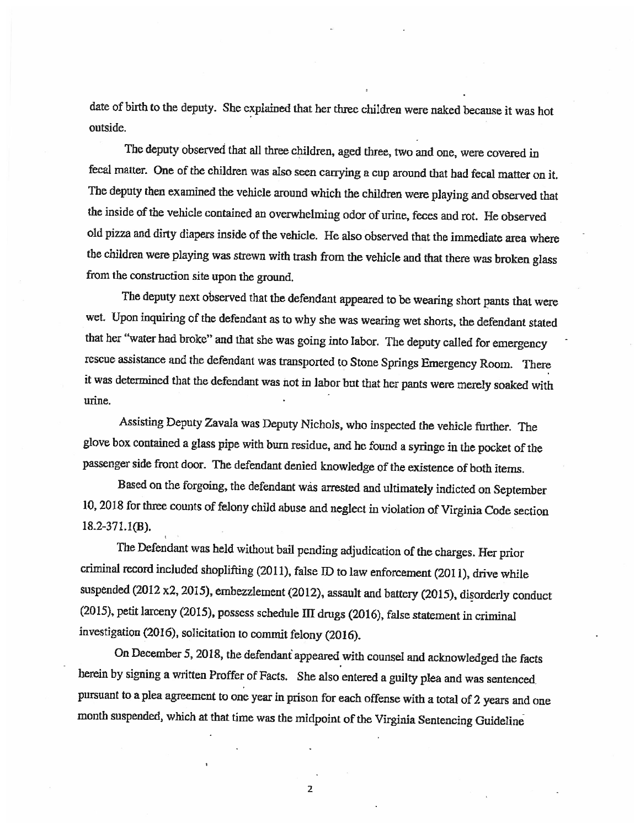date of birth to the deputy. She explained that her three children were naked because it was hot outside.

The deputy observed that all three children, aged three, two and one, were covered in fecal matter. One of the children was also seen carrying a cup around that had fecal matter on it. The deputy then examined the vehicle around which the children were playing and observed that the inside of the vehicle contained an overwhelming odor of urine, feces and rot. He observed old pizza and dirty diapers inside of the vehicle. He also observed that the immediate area where the children were playing was strewn with trash from the vehicle and that there was broken glass from the construction site upon the ground.

The deputy next observed that the defendant appeared to be wearing short pants that were wet. Upon inquiring of the defendant as to why she was wearing wet shorts, the defendant stated that her "water had broke" and that she was going into labor. The deputy called for emergency rescue assistance and the defendant was transported to Stone Springs Emergency Room. There it was determined that the defendant was not in labor but that her pants were merely soaked with urine

Assisting Deputy Zavaia was Deputy Nichols, who inspected the vehicle further. The glove box contained a glass pipe with burn residue, and he found a syringe in the pocket of the passenger side front door. The defendant denied knowledge of the existence of both items.

Based on the forgoing, the defendant was arrested and ultimately indicted on September 10, 2018 for three counts of felony child abuse and neglect in violation of Virginia Code section 18.2-371.1(B).

The Defendant was held without bail pending adjudication of the charges. Her prior criminal record included shoplifting (2011), false ID to law enforcement (2011), drive while suspended (2012 x2, 2015), embezzlement (2012), assault and battery (2015), disorderly conduct (2015), petit larceny (2015), possess schedule Ill drugs (2016), false statement in criminal investigation (2016), solicitation to commit felony (2016).

On December 5, 2018, the defendant appeared with counsel and acknowledged the facts herein by signing a written Proffer of Facts. She also entered a guilty plea and was sentenced pursuant to a plea agreement to one year in prison for each offense with a total of 2 years and one month suspended, which at that time was the midpoint of the Virginia Sentencing Guideline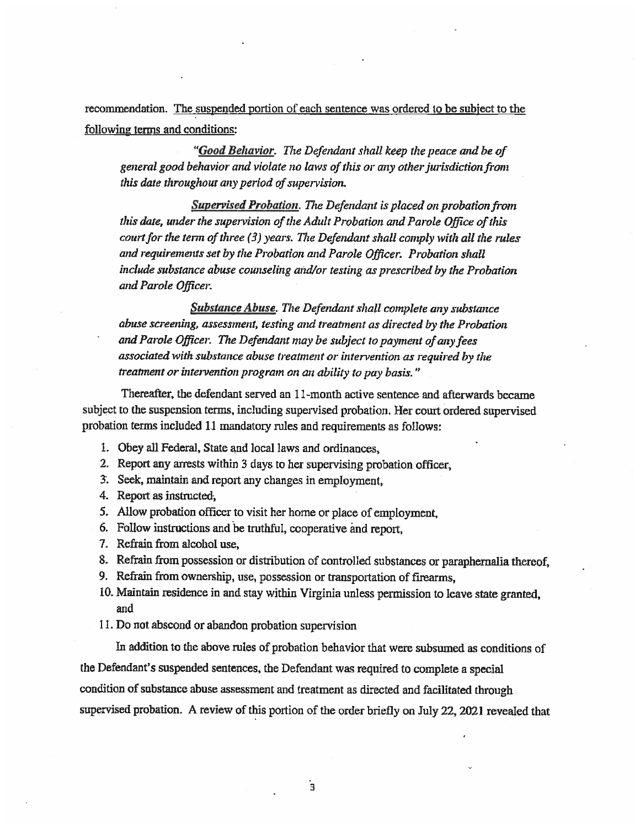recommendation. The suspended portion of each sentence was ordered to be subject to the following terms and conditions:

"Good Behavior. The Defendant shall keep the peace and be of general good behavior and violate no laws of this or any other jurisdiction front this date throughout any period of supervision.

Supervised Probation. The Defendant is placed on probation from this date, under the supervision of the Adult Probation and Parole Office of this court for the term of three  $(3)$  years. The Defendant shall comply with all the rules and requirements set by the Probation and Parole Officer. Probation shall include substance abuse counseling and/or testing as prescribed by the Probation and Parole Officer.

Substance Abuse. The Defendant shall complete any substance abuse screening, assessment, testing and treatment as directed by the Probation and Parole Officer. The Defendant may be subject to payment of any fees associated with substance abuse treatment or intervention as required by the treatment or intervention program on an ability to pay basis.

Thereafter, the defendant served an 11-month active sentence and afterwards became subject to the suspension terms, including supervised probation. Her court ordered supervised probation terms included 11 mandatory rules and requirements as follows:

- 1. Obey all Federal, State and local laws and ordinances,
- 2. Report any anests within 3 days to her supervising probation officer,
- 3'. Seek, maintain and report any changes in employment,
- 4. Report as instructed,
- 5. Allow probation officer to visit her home or place of employment,
- 6. Follow instructions and be truthful, cooperative and report,
- 7. Refrain from alcohol use,
- 8. Refrain from possession or distribution of controlled substances or paraphernalia thereof,
- 9. Refrain from ownership, use, possession or transportation of firearms,
- 10. Maintain residence in and stay within Virginia unless permission to leave state granted, and
- II. Do not abscond or abandon probation supervision

In addition to the above rules of probation behavior that were subsumed as conditions of the Defendant's suspended sentences, the Defendant was required to complete a special condition of substance abuse assessment and treatment as directed and facilitated through supervised probation. A review of this portion of the order briefly on July 22, 2021 revealed that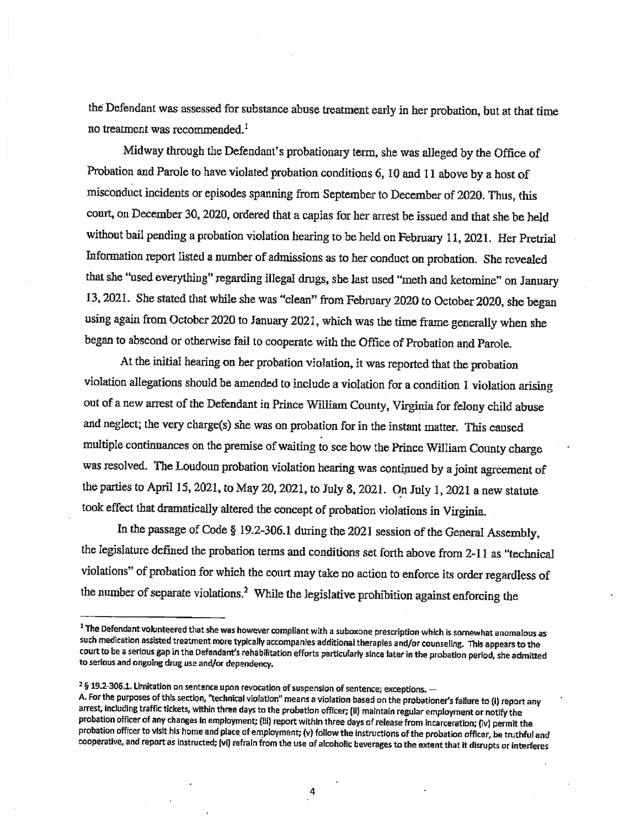the Defendant was assessed for substance abuse treatment early in her probation, but at that time no treatment was recommended.<sup>1</sup>

Midway through the Defendant's probationary term, she was alleged by the Office of Probation and Parole to have violated probation conditions 6, 10 and 11 above by a host of misconduct incidents or episodes spanning from September to December of 2020. Thus, this court, on December 30, 2020, ordered that a capias for her arrest be issued and that she be held without bail pending a probation violation hearing to be held on February 11, 2021. Her Pretrial Information report listed a number of admissions as to her conduct on probation. She revealed that she "used everything" regarding illegal drugs, she last used "meth and ketomine" on January 13, 2021. She stated that while she was "clean" from February 2020 to October 2020, she began using again from October 2020 to January 2021, which was the time frame generally when she began to abscond or otherwise fail to cooperate with the Office of Probation and Parole.

At the initial hearing on her probation violation, it was reported that the probation violation allegations should be amended to include a violation for a condition 1 violation arising out of a new arrest of the Defendant in Prince William County, Virginia for felony child abuse and neglect; the very charge(s) she was on probation for in the instant matter. This caused multiple continuances on the premise of waiting to see how the Prince William County charge was resolved. The Loudoun probation violation hearing was contipued by a joint agreement of the parties to April 15, 2021, to May 20, 2021, to July 8, 2021. On July 1, 2021 a new statute took effect that dramatically altered the concept of probation violations in Virginia.

In the passage of Code § 19.2-306.1 during the 2021 session of the General Assembly, the legislature defined the probation terms and conditions set forth above from 2-11 as "technical violations" of probation for which the court may take no action to enforce its order regardless of the number of separate violations.2 While the legislative prohibition against enforcing the

<sup>&</sup>lt;sup>1</sup> The Defendant volunteered that she was however compliant with a suboxone prescription which is somewhat anomalous as such medication assisted treatment more typically accompanies additional therapies and/or counseling. This appears to the court to be a serious gap in the Defendant's rehabilitation efforts particularly since later in the probation period, she admitted to serious and ongoing drug use and/or dependency.

<sup>&</sup>lt;sup>2</sup> § 19.2-306.1. Limitation on sentence upon revocation of suspension of sentence; exceptions. -

A. For the purposes of this section, "technical violation" means a violation based on the probationer's failure to (i) report any arrest, including traffic tickets, within three days to the probation officer; (ii) maintain regular employment or notify the probation officer of any changes in employment; (iii) report within three days of release from incarceration; (iv) permit the probation officer to visit his home and place of employment; (v) follow the instructions of the probation officer, be truthful and cooperative, and report as instructed; (vi) refrain from the use of alcoholic beverages to the extent that it disrupts or interferes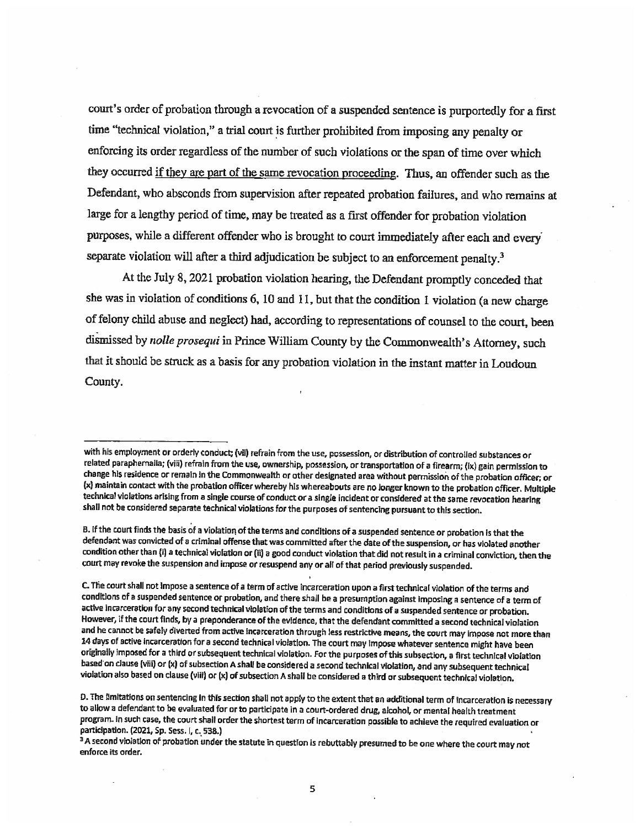court's order of probation through a revocation of a suspended sentence is purportedly for a first time "technical violation," a trial court is further prohibited from imposing any penalty or enforcing its order regardless of the number of such violations or the span of time over which they occurred if they are part of the same revocation proceeding. Thus, an offender such as the Defendant, who absconds from supervision after repeated probation failures, and who remains at large for a lengthy period of time, may be treated as a first offender for probation violation purposes, while a different offender who is brought to court immediately after each and every separate violation will after a third adjudication be subject to an enforcement penalty.<sup>3</sup>

At the July 8, 2021 probation violation hearing, the Defendant promptly conceded that she was in violation of conditions 6, 10 and 11, but that the condition 1 violation (a new charge of felony child abuse and neglect) had, according to representations of counsel to the court, been dismissed by nolle prosequi in Prince William County by the Commonwealth's Attorney, such that it should be struck as a basis for any probation violation in the instant matter in Loudoun County.

B. If the court finds the basis of a violation of the terms and conditions of a suspended sentence or probation is that the defendant was convicted of a criminal offense that was committed after the date of the suspension, or has violated another condition other than {iI a technical violation or (ii) a good conduct violation that did not result in a criminal conviction, then the court may revoke the suspension and impose or resuspend any or all of that period previously suspended.

with his employment or orderly conduct; (vii) refrain from the use, possession, or distribution of controlled substances or related paraphernalia; (viii) refrain from the use, ownership, possession, or transportation of a firearm; (ix) gain permission to change his residence or remain in the Commonwealth or other designated area without permission of the probation officer; or (x) maintain contact with the probation officer whereby his whereabouts are no longer known to the probation officer. Multiple technical violations arising from a single course of conduct or a single incident or considered at the same revocation hearing shall not be considered separate technical violations for the purposes of sentencing pursuant to this section.

C. The court shall not impose a sentence of a term of active incarceration upon a first technical violation of the terms and conditions of a suspended sentence or probation, and there shall be a presumption against imposing a sentence of a term of active incarceration for any second technical violation of the terms and conditions of a suspended sentence or probation. However, if the court fInds, by a preponderance of the evidence, that the defendant committed a second technical violation and he cannot be safely diverted from active incarceration through less restrictive means, the court may impose not more than 14 days of active incarceration for a second technical violation. The court may impose whatever sentence might have been originally imposed for a third or subsequent technical violation. For the purposes of this subsection, a first technical vIolation based-on clause (viii) or (x) of subsection A shall be considered a second technical violation, and any subsequent technical violation also based on clause (viii) or (x} af subsection A shall be considered a third or subsequent technical violation.

D. The limitations on sentencing in this section shall not apply to the extent that an additional term of incarceration is necessary to allow a defendant to be evaluated for or to participate in a court-ordered drug, alcohol, or mental health treatment program. In such case, the court shall order the shortest term of incarceration possible to achieve the required evaluation or participation. (2021, Sp. Sess. I, c. 538.)

<sup>&</sup>lt;sup>3</sup> A second violation of probation under the statute in question is rebuttably presumed to be one where the court may not enforce its order.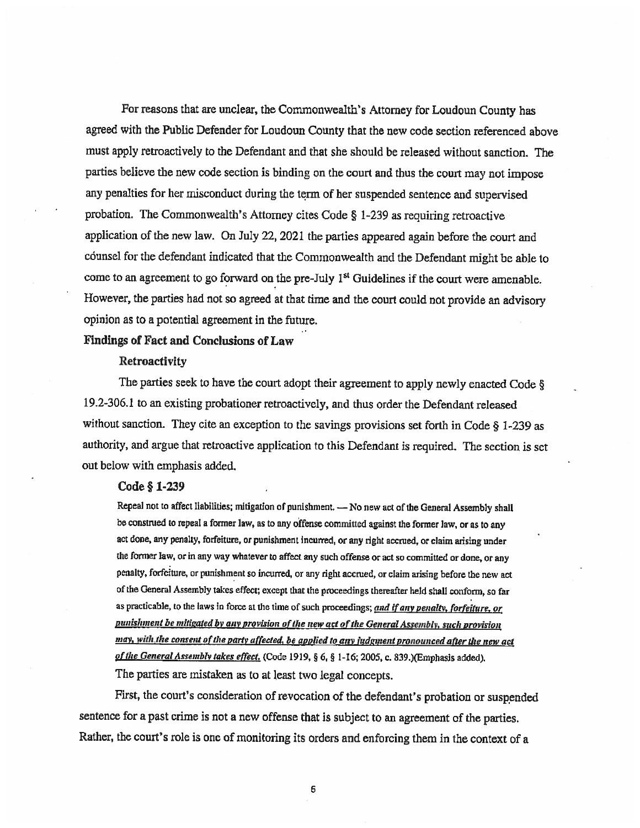For reasons that are unclear, the Commonwealth's Attorney for Loudoun County has agreed with the Public Defender for Loudoun County that the new code section referenced above must apply retroactively to the Defendant and that she should be released without sanction. The parties believe the new code section is binding on the court and thus the court may not impose any penalties for her misconduct during the term of her suspended sentence and supervised probation. The Commonwealth's Attorney cites Code § 1-239 as requiring retroactive application of the new law. On July 22, 2021 the parties appeared again before the court and counsel for the defendant indicated that the Commonwealth and the Defendant might be able to come to an agreement to go forward on the pre-July 1<sup>st</sup> Guidelines if the court were amenable. However, the parties had not so agreed at that time and the court could not provide an advisory opinion as to a potential agreement in the future.

## Findings of Fact and Conclusions of Law

#### Retroactivity

The parties seek to have the court adopt their agreement to apply newly enacted Code § 19.2-306.1 to an existing probationer retroactively, and thus order the Defendant released without sanction. They cite an exception to the savings provisions set forth in Code § 1-239 as authority, and argue that retroactive application to this Defendant is required. The section is set out below with emphasis added.

## Code § 1-239

Repeal not to affect liabilities; mitigation of punishment. - No new act of the General Assembly shall be construed to repeal a former law, as to any offense committed against the former law, or as to any act done, any penalty, forfeiture, or punishment incurred, or any right accrued, or claim arising under the former law, or in any way whatever to affect any such offense or act so committed or done, or any penalty, forfeiture, or punishment so incurred, or any right accrued, or claim arising before the new act of the General Assembly takes effect; except that the proceedings thereafter held shall conform, so far as practicable, to the laws in force at the time of such proceedings; and if any penalty, forfeiture, or punishment be mitigated by any provision of the new act of the General Assembly, such provision may, with the consent of the party affected, be applied to any judgment pronounced after the new act of the General Assembly takes effect. (Code 1919, § 6, § 1-16; 2005, c. 839.)(Emphasis added). The parties are mistaken as to at least two legal concepts.

First, the court's consideration of revocation of the defendant's probation or suspended sentence for a past crime is not a new offense that is subject to an agreement of the parties. Rather, the court's role is one of monitoring its orders and enforcing them in the context of a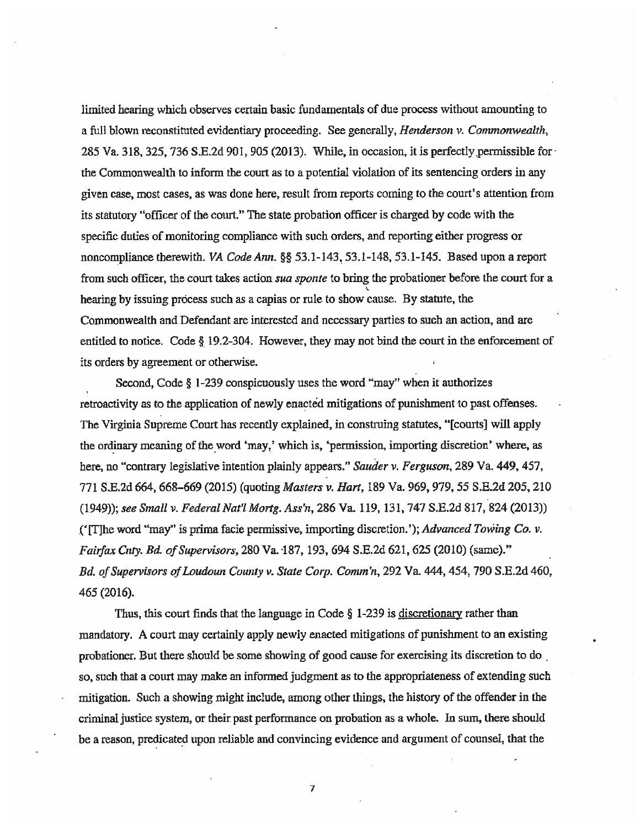limited hearing which observes certain basic fundamentals of due process without amounting to a full blown reconstituted evidentiary proceeding. See generally, *Henderson v. Commonwealth*, 285 Va. 318, 325, 736 S.E.2d 901, 905 (2013). While, in occasion, it is perfectly.permissible for the Cornmonwea]th to inform the court as to a potential violation of its sentencing orders in any given case, most cases, as was done here, result from reports coming to the court's attention from its statutory "officer of the court." The state probation officer is charged by code with the specific duties of monitoring compliance with such orders, and reporting either progress or noncompliance therewith. VA Code Ann. §§ 53.1-143, 53.1-148, 53.1-145. Based upon a report from such officer, the court takes action *sua sponte* to bring the probationer before the court for a L hearing by issuing process such as a capias or rule to show cause. By statute, the Commonwealth and Defendant are interested and necessary parties to such an action, and are entitled to notice. Code § 19.2-304. However, they may not bind the court in the enforcement of its orders by agreement or otherwise.

Second, Code § 1-239 conspicuously uses the word "may" when it authorizes retroactivity as to the application of newly enacted mitigations of punishment to past offenses. The Virginia Supreme Court has recently explained, in construing statutes, "[courts] will apply the ordinary meaning of the word 'may,' which is, 'permission, importing discretion' where, as here, no "contrary legislative intention plainly appears." Sauder v. Ferguson, 289 Va. 449, 457, 771 S.E.2d 664, 668–669 (2015) (quoting *Masters v. Hart*, 189 Va. 969, 979, 55 S.E.2d 205, 210 (1949)); see Small v. Federal Nat'l Mortg. Ass'n, 286 Va. 119, 131, 747 S.E.2d 817, 824 (2013)) (' $[T]$ he word "may" is prima facie permissive, importing discretion.'); Advanced Towing Co. v. Fairfax Cnty. Bd. of Supervisors, 280 Va. 187, 193, 694 S.E.2d 621, 625 (2010) (same)." Bd. of Supervisors of Loudoun County v. State Corp. Comm'n, 292 Va. 444, 454, 790 S.E.2d 460, 465 (2016).

Thus, this court finds that the language in Code § 1-239 is discretionary rather than mandatory. A court may certainly apply newly enacted mitigations of punishment to an existing probationer. But there should be some showing of good cause for exercising its discretion to do so, such that a court may make an informed judgment as to the appropriateness of extending such mitigation. Such a showing might include, among other things, the history of the offender in the criminal justice system, or their past performance on probation as a whole. In sum, there should be a reason, predicated upon reliable and convincing evidence and argument of counsel, that the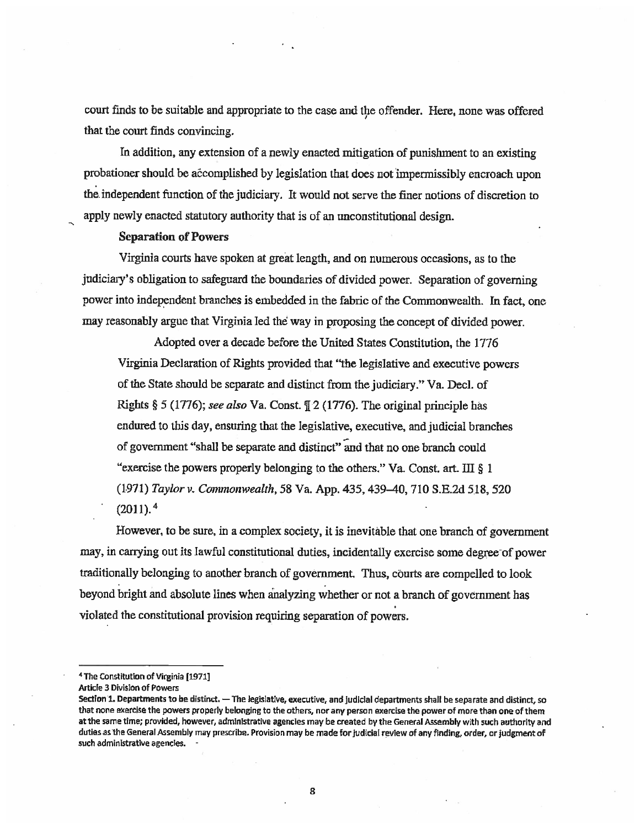court finds to be suitable and appropriate to the case and the offender. Here, none was offered that the court finds convincing.

In addition, any extension of a newly enacted mitigation of punishment to an existing probationer should be accomplished by legislation that does not impermissibly encroach upon the independent function of the judiciary. It would not serve the finer notions of discretion to apply newly enacted statutory authority that is of an unconstitutional design.

#### Separation of Powers

Virginia courts have spoken at great length, and on numerous occasions, as to the judiciary's obligation to safeguard the boundaries of divided power. Separation of governing power into independent branches is embedded in the fabric of the Commonwealth. In fact, one may reasonably argue that Virginia led the way in proposing the concept of divided power.

Adopted over a decade before the United States Constitution, the 1776 Virginia Declaration of Rights provided that "the legislative and executive powers of the State should be separate and distinct from the judiciary." Va. Decl. of Rights § 5 (1776); see also Va. Const.  $\sqrt{2}$  (1776). The original principle has endured to this day, ensuring that the legislative, executive, and judicial branches of government "shall be separate and distinct" and that no one branch could "exercise the powers properly belonging to the others." Va, Const. art. III § I (1971) Taylor v. Commonwealth, 58 Va. App. 435, 439-40, 710 S.E.2d 518, 520  $(2011).<sup>4</sup>$ 

However, to be sure, in a complex society, it is inevitable that one branch of government may, in carrying out its lawful constitutional duties, incidentally exercise some degree-of power traditionally belonging to another branch of government. Thus, courts are compelled to look beyond bright and absolute lines when analyzing whether or not a branch of government has violated the constitutional provision requiring separation of powers.

4 The ConstitutIon of Virginia [1971]

Article 3 Division of Powers

Section 1. Departments to be distinct. — The legislative, executive, and judicial departments shall be separate and distinct, so that none exercise the powers properly belonging to the others, nor any person exercise the power of more than one of than at the same time; provided, however, administrative agencies may be created by the General Assembly with such authority and duties as the General Assembly may prescribe. Provision may be made for judicial review of any fInding, order, or judgment of such administrative agencies.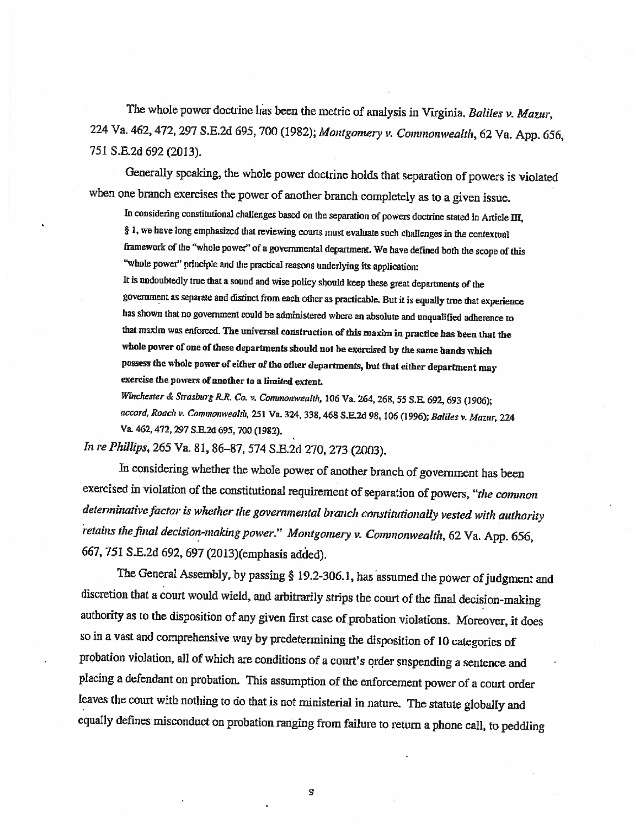The whole power doctrine has been the metric of analysis in Virginia. Baliles v. Mazur, 224 Va. 462, 472, 297 S.E.2d 695, 700 (1982); Montgomery v. Comnonwealth, 62 Va. App. 656, 751 S.E.2d 692 (2013)

Generally speaking, the whole power doctrine holds that separation of powers is violated when one branch exercises the power of another branch completely as to a given issue.

In considering constitutional challenges based on the separation of powers doctrine stated in Article III, § 1, we have long emphasized that reviewing courts must evaluate such challenges in the contextual framework of the "whole power" of a governmental department. We have defined both the scope of this "whole power" principle and the practical reasons underlying its application:

It is undoubtedly true that a sound and wise policy should keep these great deputments of the government as separate and distinct from each other as practicable. But it is equally true that experience has shown that no government could be administered where an absolute and unqualified adherence to that maxim was enforced. The universal construction of this maxim in practice has been that the whole power of one of these departments should not be exercised by the same hands which possess the whole power of either of the other departments, but that either department may exercise the powers of another to a limited extent.

Winchester & Strasburg R.R. Co. v. Commonwealth, 106 Va. 264, 268, 55 S.E. 692, 693 (1906); accord, Roach v. Commonwealth, 251 Va. 324, 338, 468 S.E.2d 98, 106 (1996); Baliles v. Mazur, 224 V& 462, 472, 297 S.R2d 695, 700 (1982).

In re Phillips, 265 Va. 81, 86–87, 574 S.E.2d 270, 273 (2003).

In considering whether the whole power of another branch of government has been exercised in violation of the constitutional requirement of separation of powers, "the common determinative factor is whether the governmental branch constitutionally vested with authority retains the final decision-making power." Montgomery v. Commonwealth, 62 Va. App. 656, 667, 751 S.E.2d 692, 697 (2013)(emphasis added).

The General Assembly, by passing § 19.2-306.1, has assumed the power of judgment and discretion that a court would wield, and arbitrarily strips the court of the final decision-making authority as to the disposition of any given first case of probation violations. Moreover, it does so in a vast and comprehensive way by predetermining the disposition of 10 categories of probation violation, all of which are conditions of a court's order suspending a sentence and placing a defendant on probation. This assumption of the enforcement power of a court order leaves the court with nothing to do that is not ministerial in nature. The statute globally and equally defines misconduct on probation ranging from failure to return a phone call, to peddling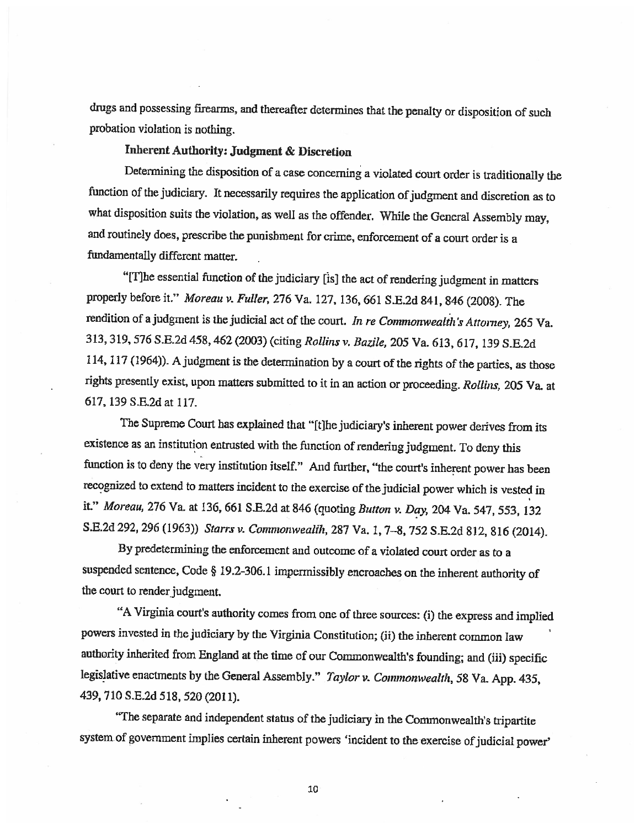drugs and possessing firearms, and thereafter determines that the penalty or disposition of such probation violation is nothing.

# Inherent Authority: Judgment & Discretion

Determining the disposition of a case concerning a violated court order is traditionally the function of the judiciary. It necessarily requires the application of judgment and discretion as to what disposition suits the violation, as well as the offender. While the General Assembly may, and routinely does, prescribe the punishment for crime, enforcement of a court order is a fundamentally different matter.

"IT]he essential function of the judiciary [is] the act of rendering judgment in matters properly before it." Moreau v. Fuller, 276 Va. 127, 136, 661 S.E.2d 841, 846 (2008). The rendition of a judgment is the judicial act of the court. In re Commonwealth's Attorney, 265 Va. 313, 319, 576 S.E.2d 458, 462 (2003) (citing Rollins u Bazile, 205 Va. 613, 617, 139 S.E.2d 114, 117 (1964)). A judgment is the determination by a court of the rights of the parties, as those rights presently exist, upon matters submitted to it in an action or proceeding. Rollins, 205 Va at 617, 139 S.E.2d at 117.

The Supreme Court has explained that "[t]he judiciary's inherent power derives from its existence as an institution entrusted with the function of rendering judgment. To deny this function is to deny the very institution itself." And further, "the court's inherent power has been recognized to extend to matters incident to the exercise of the judicial power which is vested in it." Moreau, 276 Va. at 136, 661 S.E.2d at 846 (quoting Button v. Day, 204 Va. 547, 553, 132 S.E.2d 292, 296 (1963)) Starrs v. Commonwealih, 287 Va. 1, 7-8, 752 S.E.2d 812, 816 (2014).

By predetermining the enforcement and outcome of a violated court order as to a suspended sentence, Code § 19.2-306. 1 impermissibly encroaches on the inherent authority of the court to render judgment.

"A Virginia court's authority comes from one of three sources: (i) the express and implied powers invested in the judiciary by the Virginia Constitution; (ii) the inherent common law authority inherited from England at the time of our Commonweaith's founding; and (iii) specific legislative enactments by the General Assembly." Taylor v. Commonwealth, 58 Va. App. 435, 439, 710 S.E.2d 518, 520 (2011).

"The separate and independent status of the judiciary in the Commonwealth's tripartite system of government implies certain inherent powers 'incident to the exercise of judicial power'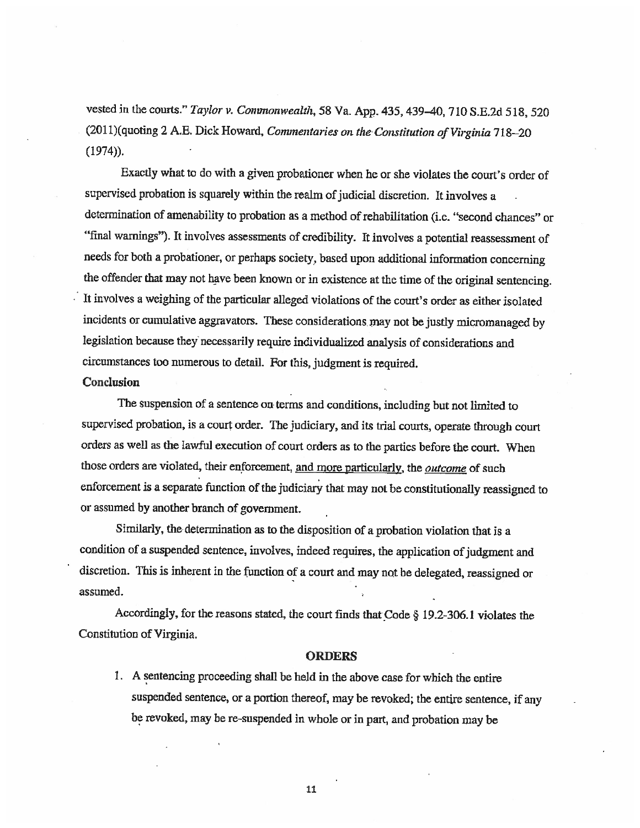vested in the courts." Taylor v. Commonwealth, 58 Va. App. 435, 439-40, 710 S.E.2d 518, 520  $(2011)$ (quoting 2 A.E. Dick Howard, Commentaries on the Constitution of Virginia 718–20  $(1974)$ .

Exactly what to do with a given probationer when he or she violates the court's order of supervised probation is squarely within the realm of judicial discretion. It involves a determination of amenability to probation as a method of rehabilitation (i.e. "second chances" or "final warnings"). It involves assessments of credibility. It involves a potential reassessment of needs for both a probationer, or perhaps society, based upon additional information concerning the offender that may not have been known or in existence at the time of the original sentencing. It involves a weighing of the particular alleged violations of the court's order as either isolated incidents or cumulative aggravators. These considerations may not be justly micromanaged by legislation because they necessarily require individualized analysis of considerations and circumstances too numerous to detail. For this, judgment is required.

#### Conclusion

The suspension of a sentence on terms and conditions, including but not limited to supervised probation, is a court order. The judiciary, and its trial courts, operate through court orders as well as the lawful execution of court orders as to the parties before the court. When those orders are violated, their enforcement, and more particularly, the *outcome* of such enforcement is a separate function of the judiciary that may not be constitutionally reassigned to or assumed by another branch of government.

Similarly, the determination as to the disposition of a probation violation that is a condition of a suspended sentence, involves, indeed requires, the application of judgment and discretion. This is inherent in the function of a court and may not be delegated, reassigned or assumed.

Accordingly, for the reasons stated, the court finds that \_Code § 19.2-306. 1 violates the Constitution of Virginia.

#### **ORDERS**

1. A sentencing proceeding shall be held in the above case for which the entire suspended sentence, or a portion thereof, may be revoked; the entire sentence, if any be revoked, may be re-suspended in whole or in pan, and probation may be